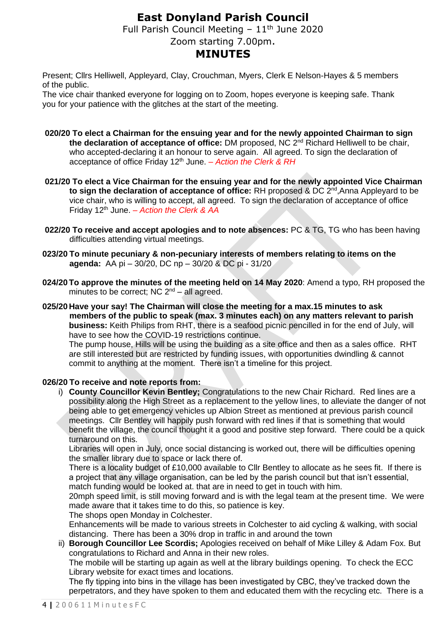## **East Donyland Parish Council**

Full Parish Council Meeting  $-11<sup>th</sup>$  June 2020

# Zoom starting 7.00pm.

## **MINUTES**

Present; Cllrs Helliwell, Appleyard, Clay, Crouchman, Myers, Clerk E Nelson-Hayes & 5 members of the public.

The vice chair thanked everyone for logging on to Zoom, hopes everyone is keeping safe. Thank you for your patience with the glitches at the start of the meeting.

- **020/20 To elect a Chairman for the ensuing year and for the newly appointed Chairman to sign the declaration of acceptance of office:** DM proposed, NC 2nd Richard Helliwell to be chair, who accepted-declaring it an honour to serve again. All agreed. To sign the declaration of acceptance of office Friday 12th June. *– Action the Clerk & RH*
- **021/20 To elect a Vice Chairman for the ensuing year and for the newly appointed Vice Chairman**  to sign the declaration of acceptance of office: RH proposed & DC 2<sup>nd</sup>, Anna Appleyard to be vice chair, who is willing to accept, all agreed. To sign the declaration of acceptance of office Friday 12th June. *– Action the Clerk & AA*
- **022/20 To receive and accept apologies and to note absences:** PC & TG, TG who has been having difficulties attending virtual meetings.
- **023/20 To minute pecuniary & non-pecuniary interests of members relating to items on the agenda:** AA pi – 30/20, DC np – 30/20 & DC pi - 31/20
- **024/20To approve the minutes of the meeting held on 14 May 2020**: Amend a typo, RH proposed the minutes to be correct; NC  $2<sup>nd</sup> - all agreed$ .

**025/20 Have your say! The Chairman will close the meeting for a max.15 minutes to ask members of the public to speak (max. 3 minutes each) on any matters relevant to parish business:** Keith Philips from RHT, there is a seafood picnic pencilled in for the end of July, will have to see how the COVID-19 restrictions continue.

The pump house, Hills will be using the building as a site office and then as a sales office. RHT are still interested but are restricted by funding issues, with opportunities dwindling & cannot commit to anything at the moment. There isn't a timeline for this project.

## **026/20 To receive and note reports from:**

i) **County Councillor Kevin Bentley;** Congratulations to the new Chair Richard. Red lines are a possibility along the High Street as a replacement to the yellow lines, to alleviate the danger of not being able to get emergency vehicles up Albion Street as mentioned at previous parish council meetings. Cllr Bentley will happily push forward with red lines if that is something that would benefit the village, the council thought it a good and positive step forward. There could be a quick turnaround on this.

Libraries will open in July, once social distancing is worked out, there will be difficulties opening the smaller library due to space or lack there of.

There is a locality budget of £10,000 available to Cllr Bentley to allocate as he sees fit. If there is a project that any village organisation, can be led by the parish council but that isn't essential, match funding would be looked at. that are in need to get in touch with him.

20mph speed limit, is still moving forward and is with the legal team at the present time. We were made aware that it takes time to do this, so patience is key.

The shops open Monday in Colchester.

Enhancements will be made to various streets in Colchester to aid cycling & walking, with social distancing. There has been a 30% drop in traffic in and around the town

ii) **Borough Councillor Lee Scordis;** Apologies received on behalf of Mike Lilley & Adam Fox. But congratulations to Richard and Anna in their new roles.

The mobile will be starting up again as well at the library buildings opening. To check the ECC Library website for exact times and locations.

The fly tipping into bins in the village has been investigated by CBC, they've tracked down the perpetrators, and they have spoken to them and educated them with the recycling etc. There is a